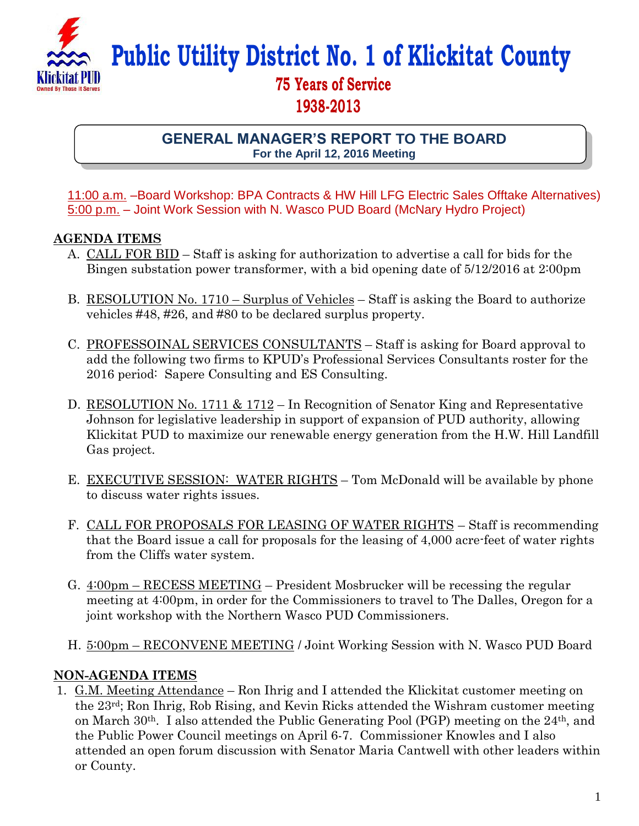

**Public Utility District No. 1 of Klickitat County**

## **75 Years of Service 1938-2013**

**GENERAL MANAGER'S REPORT TO THE BOARD For the April 12, 2016 Meeting**

11:00 a.m. –Board Workshop: BPA Contracts & HW Hill LFG Electric Sales Offtake Alternatives) 5:00 p.m. – Joint Work Session with N. Wasco PUD Board (McNary Hydro Project)

## **AGENDA ITEMS**

- A. CALL FOR BID Staff is asking for authorization to advertise a call for bids for the Bingen substation power transformer, with a bid opening date of 5/12/2016 at 2:00pm
- B. RESOLUTION No. 1710 Surplus of Vehicles Staff is asking the Board to authorize vehicles #48, #26, and #80 to be declared surplus property.
- C. PROFESSOINAL SERVICES CONSULTANTS Staff is asking for Board approval to add the following two firms to KPUD's Professional Services Consultants roster for the 2016 period: Sapere Consulting and ES Consulting.
- D. RESOLUTION No. 1711 & 1712 In Recognition of Senator King and Representative Johnson for legislative leadership in support of expansion of PUD authority, allowing Klickitat PUD to maximize our renewable energy generation from the H.W. Hill Landfill Gas project.
- E. EXECUTIVE SESSION: WATER RIGHTS Tom McDonald will be available by phone to discuss water rights issues.
- F. CALL FOR PROPOSALS FOR LEASING OF WATER RIGHTS Staff is recommending that the Board issue a call for proposals for the leasing of 4,000 acre-feet of water rights from the Cliffs water system.
- G. 4:00pm RECESS MEETING President Mosbrucker will be recessing the regular meeting at 4:00pm, in order for the Commissioners to travel to The Dalles, Oregon for a joint workshop with the Northern Wasco PUD Commissioners.
- H. 5:00pm RECONVENE MEETING / Joint Working Session with N. Wasco PUD Board

## **NON-AGENDA ITEMS**

1. G.M. Meeting Attendance – Ron Ihrig and I attended the Klickitat customer meeting on the 23rd; Ron Ihrig, Rob Rising, and Kevin Ricks attended the Wishram customer meeting on March  $30<sup>th</sup>$ . I also attended the Public Generating Pool (PGP) meeting on the  $24<sup>th</sup>$ , and the Public Power Council meetings on April 6-7. Commissioner Knowles and I also attended an open forum discussion with Senator Maria Cantwell with other leaders within or County.